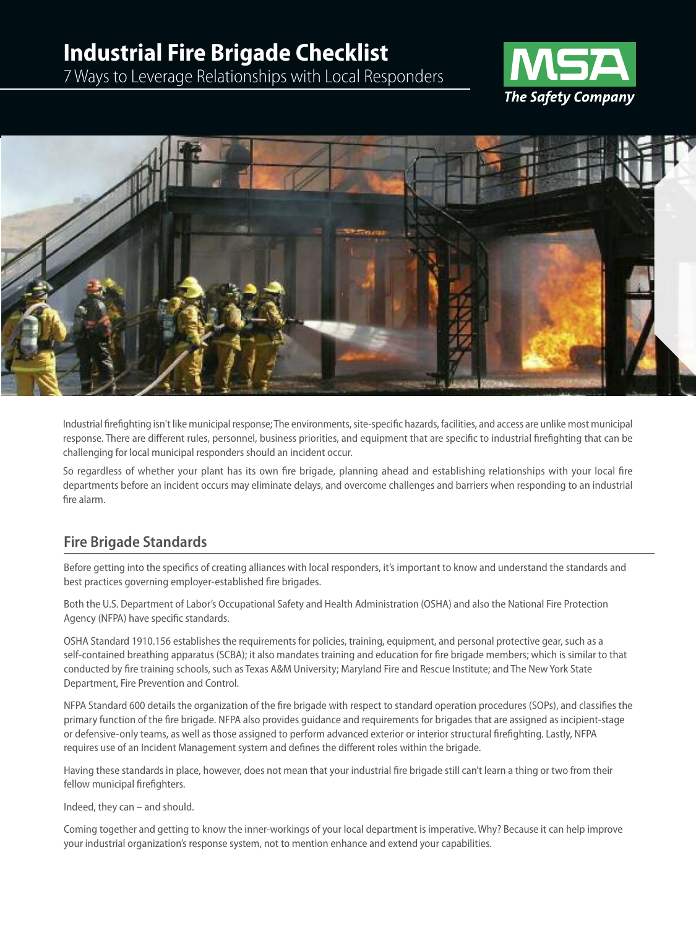# **Industrial Fire Brigade Checklist**

7Ways to Leverage Relationships with Local Responders





Industrial firefighting isn't like municipal response; The environments, site-specific hazards, facilities, and access are unlike most municipal response. There are different rules, personnel, business priorities, and equipment that are specific to industrial firefighting that can be challenging for local municipal responders should an incident occur.

So regardless of whether your plant has its own fire brigade, planning ahead and establishing relationships with your local fire departments before an incident occurs may eliminate delays, and overcome challenges and barriers when responding to an industrial fire alarm.

### **Fire Brigade Standards**

Before getting into the specifics of creating alliances with local responders, it's important to know and understand the standards and best practices governing employer-established fire brigades.

Both the U.S. Department of Labor's Occupational Safety and Health Administration (OSHA) and also the National Fire Protection Agency (NFPA) have specific standards.

OSHA Standard 1910.156 establishes the requirements for policies, training, equipment, and personal protective gear, such as a self-contained breathing apparatus (SCBA); it also mandates training and education for fire brigade members; which is similar to that conducted by fire training schools, such as Texas A&M University; Maryland Fire and Rescue Institute; and The NewYork State Department, Fire Prevention and Control.

NFPA Standard 600 details the organization of the fire brigade with respect to standard operation procedures (SOPs), and classifies the primary function of the fire brigade. NFPA also provides guidance and requirements for brigades that are assigned as incipient-stage or defensive-only teams, as well as those assigned to perform advanced exterior or interior structural firefighting. Lastly, NFPA requires use of an Incident Management system and defines the different roles within the brigade.

Having these standards in place, however, does not mean that your industrial fire brigade still can't learn a thing or two from their fellow municipal firefighters.

Indeed, they can – and should.

Coming together and getting to know the inner-workings of your local department is imperative. Why? Because it can help improve your industrial organization's response system, not to mention enhance and extend your capabilities.